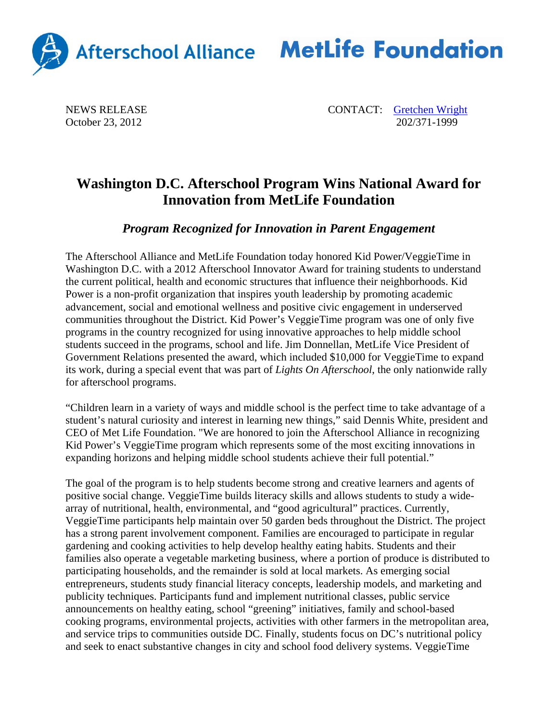

## Afterschool Alliance MetLife Foundation

October 23, 2012

NEWS RELEASE CONTACT: Contact CONTACT: Contact CONTACT: Contact CONTACT: Contact CONTACT: Contact CONTACT: Contact CONTACT: Contact CONTACT: CONTACT: CONTACT: CONTACT: CONTACT: CONTACT: CONTACT: CONTACT: CONTACT: CONTACT:

## **Washington D.C. Afterschool Program Wins National Award for Innovation from MetLife Foundation**

*Program Recognized for Innovation in Parent Engagement* 

The Afterschool Alliance and MetLife Foundation today honored Kid Power/VeggieTime in Washington D.C. with a 2012 Afterschool Innovator Award for training students to understand the current political, health and economic structures that influence their neighborhoods. Kid Power is a non-profit organization that inspires youth leadership by promoting academic advancement, social and emotional wellness and positive civic engagement in underserved communities throughout the District. Kid Power's VeggieTime program was one of only five programs in the country recognized for using innovative approaches to help middle school students succeed in the programs, school and life. Jim Donnellan, MetLife Vice President of Government Relations presented the award, which included \$10,000 for VeggieTime to expand its work, during a special event that was part of *Lights On Afterschool*, the only nationwide rally for afterschool programs.

"Children learn in a variety of ways and middle school is the perfect time to take advantage of a student's natural curiosity and interest in learning new things," said Dennis White, president and CEO of Met Life Foundation. "We are honored to join the Afterschool Alliance in recognizing Kid Power's VeggieTime program which represents some of the most exciting innovations in expanding horizons and helping middle school students achieve their full potential."

The goal of the program is to help students become strong and creative learners and agents of positive social change. VeggieTime builds literacy skills and allows students to study a widearray of nutritional, health, environmental, and "good agricultural" practices. Currently, VeggieTime participants help maintain over 50 garden beds throughout the District. The project has a strong parent involvement component. Families are encouraged to participate in regular gardening and cooking activities to help develop healthy eating habits. Students and their families also operate a vegetable marketing business, where a portion of produce is distributed to participating households, and the remainder is sold at local markets. As emerging social entrepreneurs, students study financial literacy concepts, leadership models, and marketing and publicity techniques. Participants fund and implement nutritional classes, public service announcements on healthy eating, school "greening" initiatives, family and school-based cooking programs, environmental projects, activities with other farmers in the metropolitan area, and service trips to communities outside DC. Finally, students focus on DC's nutritional policy and seek to enact substantive changes in city and school food delivery systems. VeggieTime